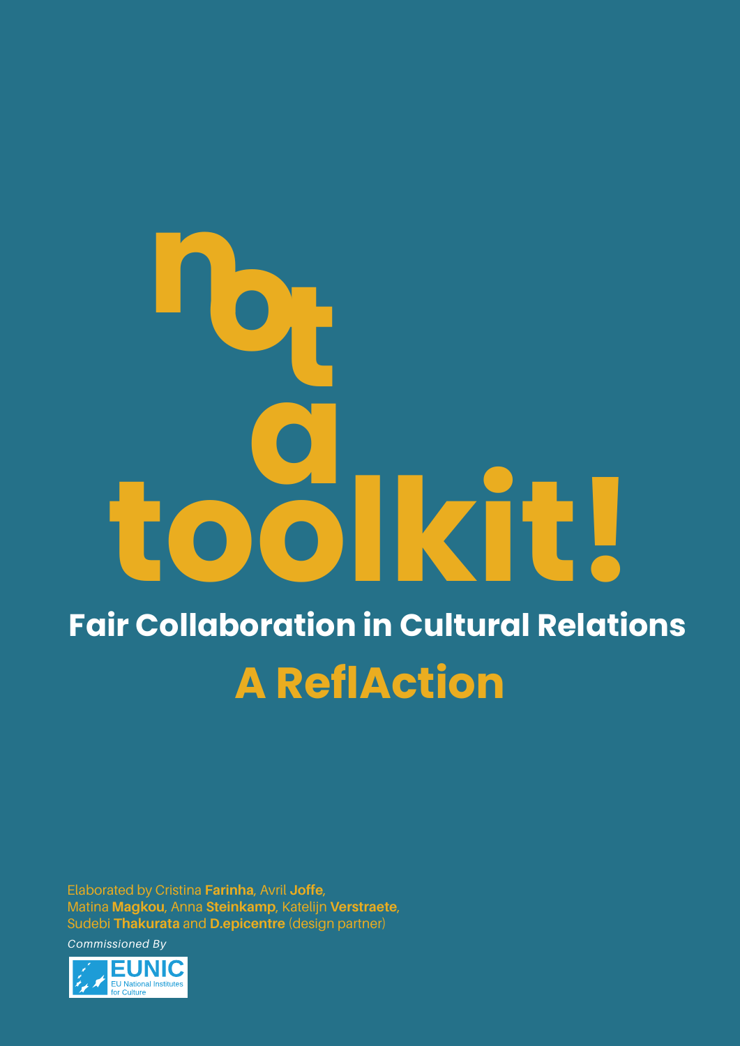## **a ot n Fair Collaboration in Cultural Relations toolkit!**<br>The original of the selection in Cultural Relation **A ReflAction**

Elaborated by Cristina **Farinha**, Avril **Joffe**, Matina **Magkou**, Anna **Steinkamp**, Katelijn **Verstraete**, Sudebi **Thakurata** and **D.epicentre** (design partner)

*Commissioned By* 

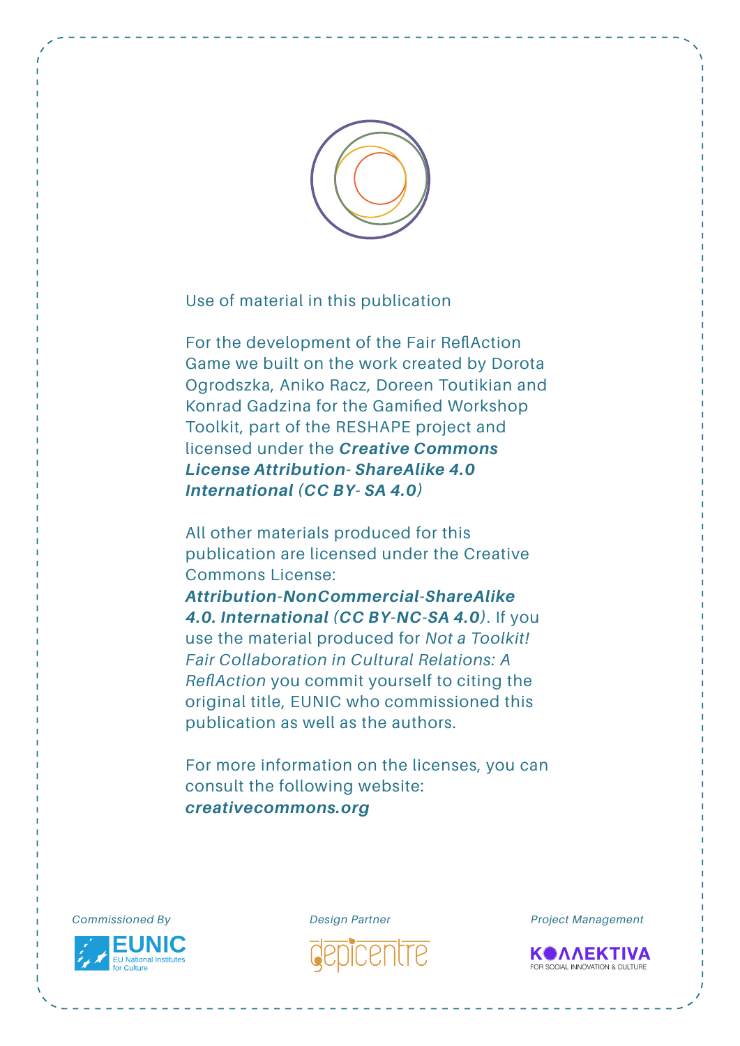

Use of material in this publication

For the development of the Fair ReflAction Game we built on the work created by Dorota Ogrodszka, Aniko Racz, Doreen Toutikian and Konrad Gadzina for the Gamified Workshop Toolkit, part of the RESHAPE project and licensed under the *Creative Commons [License Attribution- ShareAlike 4.0](https://creativecommons.org/licenses/by-sa/4.0/)  International (CC BY- SA 4.0)*

All other materials produced for this publication are licensed under the Creative Commons License:

*[Attribution-NonCommercial-ShareAlike](https://creativecommons.org/licenses/by-nc-sa/4.0/) 4.0. International (CC BY-NC-SA 4.0)*. If you use the material produced for *Not a Toolkit! Fair Collaboration in Cultural Relations: A ReflAction* you commit yourself to citing the original title, EUNIC who commissioned this publication as well as the authors.

For more information on the licenses, you can consult the following website: *[creativecommons.org](http://creativecommons.org/)*



*Commissioned By Design Partner Project Management* 

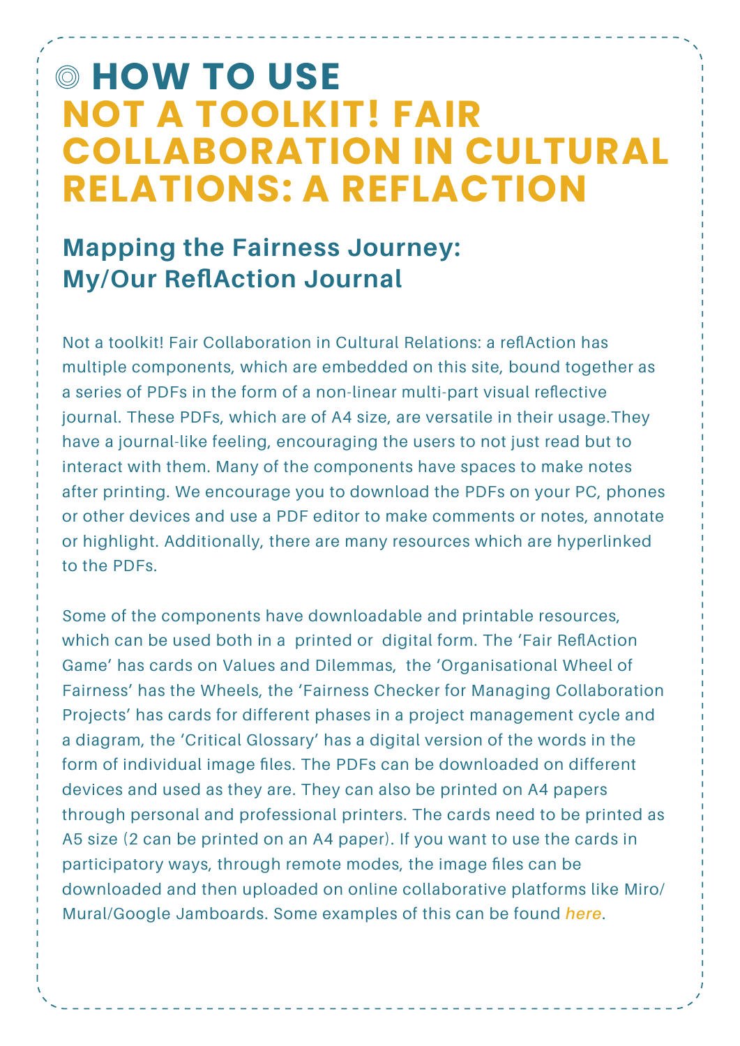## **HOW TO USE NOT A TOOLKIT! FAIR COLLABORATION IN CULTURAL RELATIONS: A REFLACTION**

## **Mapping the Fairness Journey: My/Our ReflAction Journal**

Not a toolkit! Fair Collaboration in Cultural Relations: a reflAction has multiple components, which are embedded on this site, bound together as a series of PDFs in the form of a non-linear multi-part visual reflective journal. These PDFs, which are of A4 size, are versatile in their usage.They have a journal-like feeling, encouraging the users to not just read but to interact with them. Many of the components have spaces to make notes after printing. We encourage you to download the PDFs on your PC, phones or other devices and use a PDF editor to make comments or notes, annotate or highlight. Additionally, there are many resources which are hyperlinked to the PDFs.

Some of the components have downloadable and printable resources, which can be used both in a printed or digital form. The 'Fair ReflAction Game' has cards on Values and Dilemmas, the 'Organisational Wheel of Fairness' has the Wheels, the 'Fairness Checker for Managing Collaboration Projects' has cards for different phases in a project management cycle and a diagram, the 'Critical Glossary' has a digital version of the words in the form of individual image files. The PDFs can be downloaded on different devices and used as they are. They can also be printed on A4 papers through personal and professional printers. The cards need to be printed as A5 size (2 can be printed on an A4 paper). If you want to use the cards in participatory ways, through remote modes, the image files can be downloaded and then uploaded on online collaborative platforms like Miro/ Mural/Google Jamboards. Some examples of this can be found *[here](https://jamboard.google.com/d/1MT0-j22YD0dRUgqkuW5FWNMwa1xsnTOUrBVWQpe9ztY/edit?usp=sharing)*.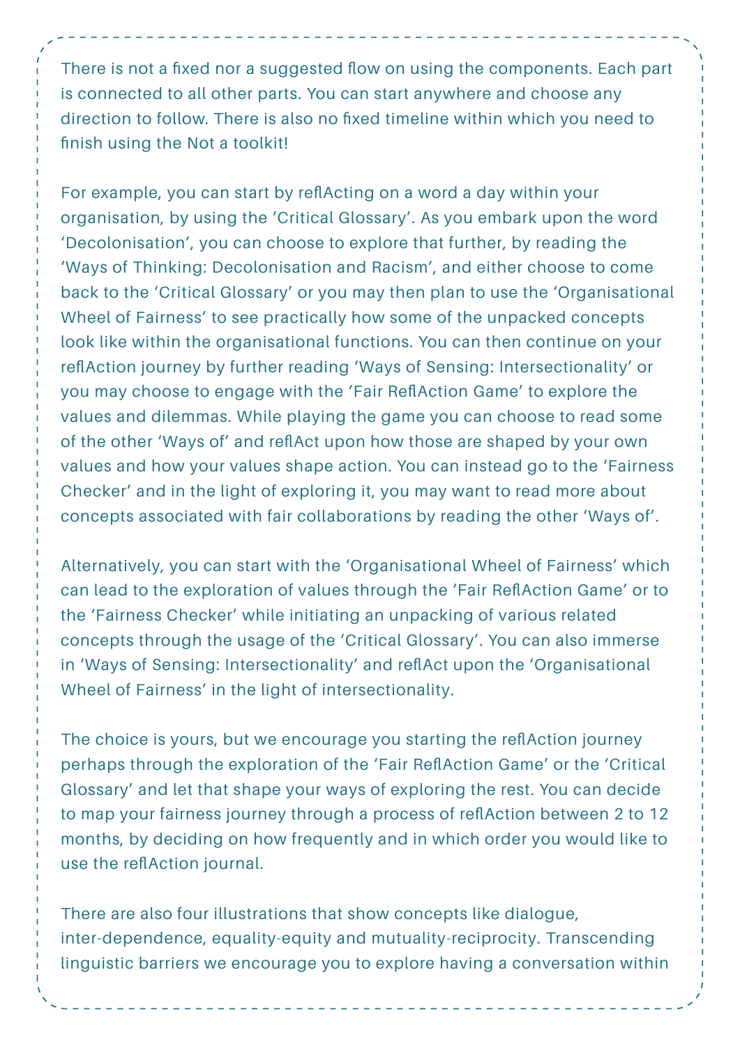There is not a fixed nor a suggested flow on using the components. Each part is connected to all other parts. You can start anywhere and choose any direction to follow. There is also no fixed timeline within which you need to finish using the Not a toolkit!

For example, you can start by reflActing on a word a day within your organisation, by using the 'Critical Glossary'. As you embark upon the word 'Decolonisation', you can choose to explore that further, by reading the 'Ways of Thinking: Decolonisation and Racism', and either choose to come back to the 'Critical Glossary' or you may then plan to use the 'Organisational Wheel of Fairness' to see practically how some of the unpacked concepts look like within the organisational functions. You can then continue on your reflAction journey by further reading 'Ways of Sensing: Intersectionality' or you may choose to engage with the 'Fair ReflAction Game' to explore the values and dilemmas. While playing the game you can choose to read some of the other 'Ways of' and reflAct upon how those are shaped by your own values and how your values shape action. You can instead go to the 'Fairness Checker' and in the light of exploring it, you may want to read more about concepts associated with fair collaborations by reading the other 'Ways of'.

Alternatively, you can start with the 'Organisational Wheel of Fairness' which can lead to the exploration of values through the 'Fair ReflAction Game' or to the 'Fairness Checker' while initiating an unpacking of various related concepts through the usage of the 'Critical Glossary'. You can also immerse in 'Ways of Sensing: Intersectionality' and reflAct upon the 'Organisational Wheel of Fairness' in the light of intersectionality.

The choice is yours, but we encourage you starting the reflAction journey perhaps through the exploration of the 'Fair ReflAction Game' or the 'Critical Glossary' and let that shape your ways of exploring the rest. You can decide to map your fairness journey through a process of reflAction between 2 to 12 months, by deciding on how frequently and in which order you would like to use the reflAction journal.

There are also four illustrations that show concepts like dialogue, inter-dependence, equality-equity and mutuality-reciprocity. Transcending linguistic barriers we encourage you to explore having a conversation within